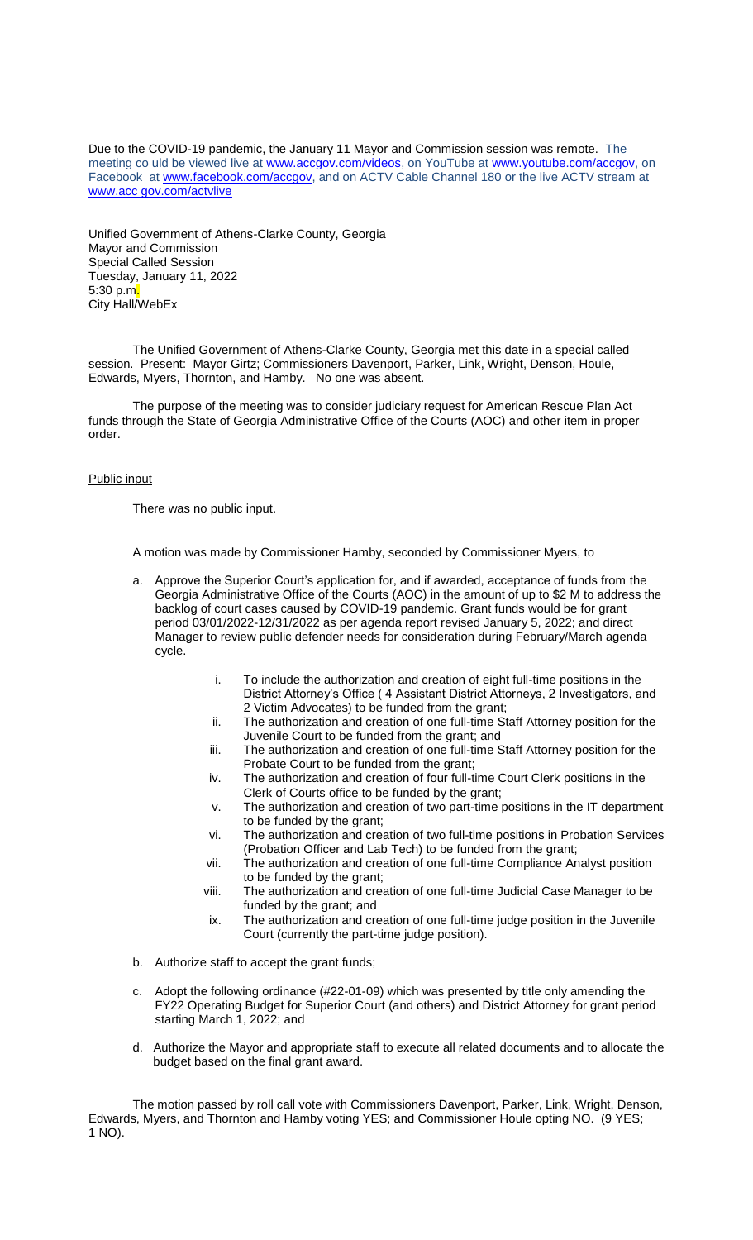Due to the COVID-19 pandemic, the January 11 Mayor and Commission session was remote. The meeting co uld be viewed live at [www.accgov.com/videos,](http://www.accgov.com/videos) on YouTube at [www.youtube.com/accgov,](http://www.youtube.com/accgov) on Facebook at [www.facebook.com/accgov,](http://www.facebook.com/accgov) and on ACTV Cable Channel 180 or the live ACTV stream at www.acc gov.com/actvlive

Unified Government of Athens-Clarke County, Georgia Mayor and Commission Special Called Session Tuesday, January 11, 2022 5:30 p.m. City Hall/WebEx

The Unified Government of Athens-Clarke County, Georgia met this date in a special called session. Present: Mayor Girtz; Commissioners Davenport, Parker, Link, Wright, Denson, Houle, Edwards, Myers, Thornton, and Hamby. No one was absent.

The purpose of the meeting was to consider judiciary request for American Rescue Plan Act funds through the State of Georgia Administrative Office of the Courts (AOC) and other item in proper order.

## Public input

There was no public input.

A motion was made by Commissioner Hamby, seconded by Commissioner Myers, to

- a. Approve the Superior Court's application for, and if awarded, acceptance of funds from the Georgia Administrative Office of the Courts (AOC) in the amount of up to \$2 M to address the backlog of court cases caused by COVID-19 pandemic. Grant funds would be for grant period 03/01/2022-12/31/2022 as per agenda report revised January 5, 2022; and direct Manager to review public defender needs for consideration during February/March agenda cycle.
	- i. To include the authorization and creation of eight full-time positions in the District Attorney's Office ( 4 Assistant District Attorneys, 2 Investigators, and 2 Victim Advocates) to be funded from the grant;
	- ii. The authorization and creation of one full-time Staff Attorney position for the Juvenile Court to be funded from the grant; and
	- iii. The authorization and creation of one full-time Staff Attorney position for the Probate Court to be funded from the grant;
	- iv. The authorization and creation of four full-time Court Clerk positions in the Clerk of Courts office to be funded by the grant;
	- v. The authorization and creation of two part-time positions in the IT department to be funded by the grant;
	- vi. The authorization and creation of two full-time positions in Probation Services (Probation Officer and Lab Tech) to be funded from the grant;
	- vii. The authorization and creation of one full-time Compliance Analyst position to be funded by the grant;
	- viii. The authorization and creation of one full-time Judicial Case Manager to be funded by the grant; and
	- ix. The authorization and creation of one full-time judge position in the Juvenile Court (currently the part-time judge position).
- b. Authorize staff to accept the grant funds;
- c. Adopt the following ordinance (#22-01-09) which was presented by title only amending the FY22 Operating Budget for Superior Court (and others) and District Attorney for grant period starting March 1, 2022; and
- d. Authorize the Mayor and appropriate staff to execute all related documents and to allocate the budget based on the final grant award.

The motion passed by roll call vote with Commissioners Davenport, Parker, Link, Wright, Denson, Edwards, Myers, and Thornton and Hamby voting YES; and Commissioner Houle opting NO. (9 YES; 1 NO).